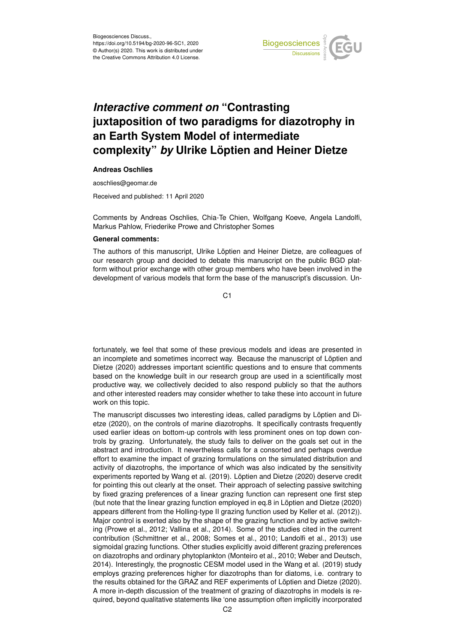

# *Interactive comment on* **"Contrasting juxtaposition of two paradigms for diazotrophy in an Earth System Model of intermediate complexity"** *by* **Ulrike Löptien and Heiner Dietze**

#### **Andreas Oschlies**

aoschlies@geomar.de

Received and published: 11 April 2020

Comments by Andreas Oschlies, Chia-Te Chien, Wolfgang Koeve, Angela Landolfi, Markus Pahlow, Friederike Prowe and Christopher Somes

### **General comments:**

The authors of this manuscript, Ulrike Löptien and Heiner Dietze, are colleagues of our research group and decided to debate this manuscript on the public BGD platform without prior exchange with other group members who have been involved in the development of various models that form the base of the manuscript's discussion. Un-

 $C<sub>1</sub>$ 

fortunately, we feel that some of these previous models and ideas are presented in an incomplete and sometimes incorrect way. Because the manuscript of Löptien and Dietze (2020) addresses important scientific questions and to ensure that comments based on the knowledge built in our research group are used in a scientifically most productive way, we collectively decided to also respond publicly so that the authors and other interested readers may consider whether to take these into account in future work on this topic.

The manuscript discusses two interesting ideas, called paradigms by Löptien and Dietze (2020), on the controls of marine diazotrophs. It specifically contrasts frequently used earlier ideas on bottom-up controls with less prominent ones on top down controls by grazing. Unfortunately, the study fails to deliver on the goals set out in the abstract and introduction. It nevertheless calls for a consorted and perhaps overdue effort to examine the impact of grazing formulations on the simulated distribution and activity of diazotrophs, the importance of which was also indicated by the sensitivity experiments reported by Wang et al. (2019). Löptien and Dietze (2020) deserve credit for pointing this out clearly at the onset. Their approach of selecting passive switching by fixed grazing preferences of a linear grazing function can represent one first step (but note that the linear grazing function employed in eq.8 in Löptien and Dietze (2020) appears different from the Holling-type II grazing function used by Keller et al. (2012)). Major control is exerted also by the shape of the grazing function and by active switching (Prowe et al., 2012; Vallina et al., 2014). Some of the studies cited in the current contribution (Schmittner et al., 2008; Somes et al., 2010; Landolfi et al., 2013) use sigmoidal grazing functions. Other studies explicitly avoid different grazing preferences on diazotrophs and ordinary phytoplankton (Monteiro et al., 2010; Weber and Deutsch, 2014). Interestingly, the prognostic CESM model used in the Wang et al. (2019) study employs grazing preferences higher for diazotrophs than for diatoms, i.e. contrary to the results obtained for the GRAZ and REF experiments of Löptien and Dietze (2020). A more in-depth discussion of the treatment of grazing of diazotrophs in models is required, beyond qualitative statements like 'one assumption often implicitly incorporated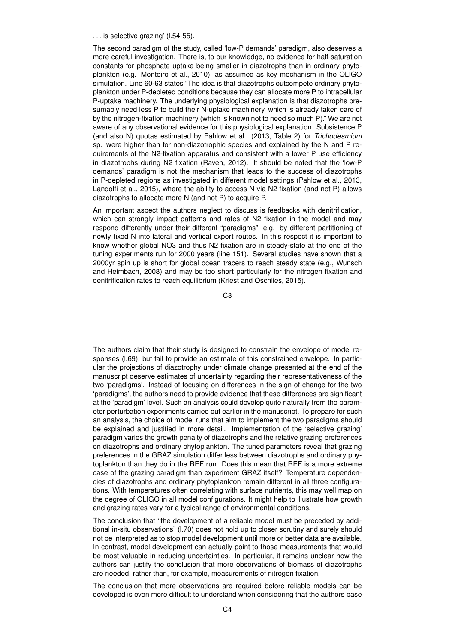... is selective grazing' (I.54-55).

The second paradigm of the study, called 'low-P demands' paradigm, also deserves a more careful investigation. There is, to our knowledge, no evidence for half-saturation constants for phosphate uptake being smaller in diazotrophs than in ordinary phytoplankton (e.g. Monteiro et al., 2010), as assumed as key mechanism in the OLIGO simulation. Line 60-63 states "The idea is that diazotrophs outcompete ordinary phytoplankton under P-depleted conditions because they can allocate more P to intracellular P-uptake machinery. The underlying physiological explanation is that diazotrophs presumably need less P to build their N-uptake machinery, which is already taken care of by the nitrogen-fixation machinery (which is known not to need so much P)." We are not aware of any observational evidence for this physiological explanation. Subsistence P (and also N) quotas estimated by Pahlow et al. (2013, Table 2) for *Trichodesmium* sp. were higher than for non-diazotrophic species and explained by the N and P requirements of the N2-fixation apparatus and consistent with a lower P use efficiency in diazotrophs during N2 fixation (Raven, 2012). It should be noted that the 'low-P demands' paradigm is not the mechanism that leads to the success of diazotrophs in P-depleted regions as investigated in different model settings (Pahlow et al., 2013, Landolfi et al., 2015), where the ability to access N via N2 fixation (and not P) allows diazotrophs to allocate more N (and not P) to acquire P.

An important aspect the authors neglect to discuss is feedbacks with denitrification, which can strongly impact patterns and rates of N2 fixation in the model and may respond differently under their different "paradigms", e.g. by different partitioning of newly fixed N into lateral and vertical export routes. In this respect it is important to know whether global NO3 and thus N2 fixation are in steady-state at the end of the tuning experiments run for 2000 years (line 151). Several studies have shown that a 2000yr spin up is short for global ocean tracers to reach steady state (e.g., Wunsch and Heimbach, 2008) and may be too short particularly for the nitrogen fixation and denitrification rates to reach equilibrium (Kriest and Oschlies, 2015).

C3

The authors claim that their study is designed to constrain the envelope of model responses (l.69), but fail to provide an estimate of this constrained envelope. In particular the projections of diazotrophy under climate change presented at the end of the manuscript deserve estimates of uncertainty regarding their representativeness of the two 'paradigms'. Instead of focusing on differences in the sign-of-change for the two 'paradigms', the authors need to provide evidence that these differences are significant at the 'paradigm' level. Such an analysis could develop quite naturally from the parameter perturbation experiments carried out earlier in the manuscript. To prepare for such an analysis, the choice of model runs that aim to implement the two paradigms should be explained and justified in more detail. Implementation of the 'selective grazing' paradigm varies the growth penalty of diazotrophs and the relative grazing preferences on diazotrophs and ordinary phytoplankton. The tuned parameters reveal that grazing preferences in the GRAZ simulation differ less between diazotrophs and ordinary phytoplankton than they do in the REF run. Does this mean that REF is a more extreme case of the grazing paradigm than experiment GRAZ itself? Temperature dependencies of diazotrophs and ordinary phytoplankton remain different in all three configurations. With temperatures often correlating with surface nutrients, this may well map on the degree of OLIGO in all model configurations. It might help to illustrate how growth and grazing rates vary for a typical range of environmental conditions.

The conclusion that ''the development of a reliable model must be preceded by additional in-situ observations" (l.70) does not hold up to closer scrutiny and surely should not be interpreted as to stop model development until more or better data are available. In contrast, model development can actually point to those measurements that would be most valuable in reducing uncertainties. In particular, it remains unclear how the authors can justify the conclusion that more observations of biomass of diazotrophs are needed, rather than, for example, measurements of nitrogen fixation.

The conclusion that more observations are required before reliable models can be developed is even more difficult to understand when considering that the authors base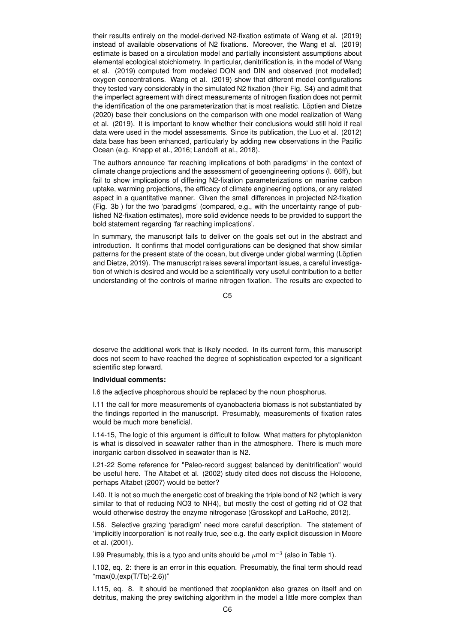their results entirely on the model-derived N2-fixation estimate of Wang et al. (2019) instead of available observations of N2 fixations. Moreover, the Wang et al. (2019) estimate is based on a circulation model and partially inconsistent assumptions about elemental ecological stoichiometry. In particular, denitrification is, in the model of Wang et al. (2019) computed from modeled DON and DIN and observed (not modelled) oxygen concentrations. Wang et al. (2019) show that different model configurations they tested vary considerably in the simulated N2 fixation (their Fig. S4) and admit that the imperfect agreement with direct measurements of nitrogen fixation does not permit the identification of the one parameterization that is most realistic. Löptien and Dietze (2020) base their conclusions on the comparison with one model realization of Wang et al. (2019). It is important to know whether their conclusions would still hold if real data were used in the model assessments. Since its publication, the Luo et al. (2012) data base has been enhanced, particularly by adding new observations in the Pacific Ocean (e.g. Knapp et al., 2016; Landolfi et al., 2018).

The authors announce 'far reaching implications of both paradigms' in the context of climate change projections and the assessment of geoengineering options (l. 66ff), but fail to show implications of differing N2-fixation parameterizations on marine carbon uptake, warming projections, the efficacy of climate engineering options, or any related aspect in a quantitative manner. Given the small differences in projected N2-fixation (Fig. 3b ) for the two 'paradigms' (compared, e.g., with the uncertainty range of published N2-fixation estimates), more solid evidence needs to be provided to support the bold statement regarding 'far reaching implications'.

In summary, the manuscript fails to deliver on the goals set out in the abstract and introduction. It confirms that model configurations can be designed that show similar patterns for the present state of the ocean, but diverge under global warming (Löptien and Dietze, 2019). The manuscript raises several important issues, a careful investigation of which is desired and would be a scientifically very useful contribution to a better understanding of the controls of marine nitrogen fixation. The results are expected to

C5

deserve the additional work that is likely needed. In its current form, this manuscript does not seem to have reached the degree of sophistication expected for a significant scientific step forward.

## **Individual comments:**

l.6 the adjective phosphorous should be replaced by the noun phosphorus.

l.11 the call for more measurements of cyanobacteria biomass is not substantiated by the findings reported in the manuscript. Presumably, measurements of fixation rates would be much more beneficial.

l.14-15, The logic of this argument is difficult to follow. What matters for phytoplankton is what is dissolved in seawater rather than in the atmosphere. There is much more inorganic carbon dissolved in seawater than is N2.

l.21-22 Some reference for "Paleo-record suggest balanced by denitrification" would be useful here. The Altabet et al. (2002) study cited does not discuss the Holocene, perhaps Altabet (2007) would be better?

l.40. It is not so much the energetic cost of breaking the triple bond of N2 (which is very similar to that of reducing NO3 to NH4), but mostly the cost of getting rid of O2 that would otherwise destroy the enzyme nitrogenase (Grosskopf and LaRoche, 2012).

l.56. Selective grazing 'paradigm' need more careful description. The statement of 'implicitly incorporation' is not really true, see e.g. the early explicit discussion in Moore et al. (2001).

l.99 Presumably, this is a typo and units should be  $\mu$ mol m<sup>-3</sup> (also in Table 1).

l.102, eq. 2: there is an error in this equation. Presumably, the final term should read "max(0,(exp(T/Tb)-2.6))"

l.115, eq. 8. It should be mentioned that zooplankton also grazes on itself and on detritus, making the prey switching algorithm in the model a little more complex than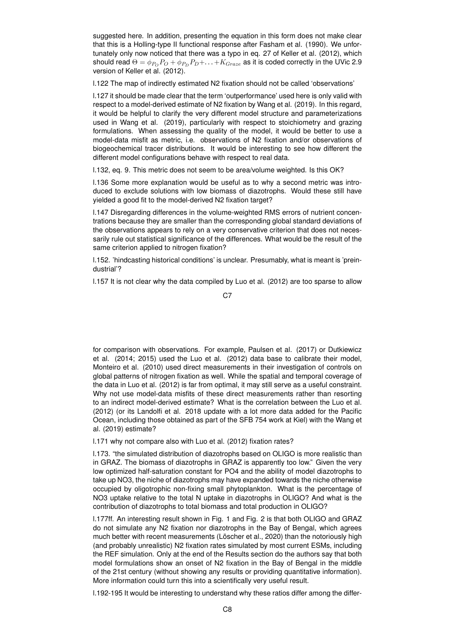suggested here. In addition, presenting the equation in this form does not make clear that this is a Holling-type II functional response after Fasham et al. (1990). We unfortunately only now noticed that there was a typo in eq. 27 of Keller et al. (2012), which should read  $\Theta = \phi_{P_O} P_O + \phi_{P_D} P_D + \ldots + K_{Graze}$  as it is coded correctly in the UVic 2.9 version of Keller et al. (2012).

l.122 The map of indirectly estimated N2 fixation should not be called 'observations'

l.127 it should be made clear that the term 'outperformance' used here is only valid with respect to a model-derived estimate of N2 fixation by Wang et al. (2019). In this regard, it would be helpful to clarify the very different model structure and parameterizations used in Wang et al. (2019), particularly with respect to stoichiometry and grazing formulations. When assessing the quality of the model, it would be better to use a model-data misfit as metric, i.e. observations of N2 fixation and/or observations of biogeochemical tracer distributions. It would be interesting to see how different the different model configurations behave with respect to real data.

l.132, eq. 9. This metric does not seem to be area/volume weighted. Is this OK?

l.136 Some more explanation would be useful as to why a second metric was introduced to exclude solutions with low biomass of diazotrophs. Would these still have yielded a good fit to the model-derived N2 fixation target?

l.147 Disregarding differences in the volume-weighted RMS errors of nutrient concentrations because they are smaller than the corresponding global standard deviations of the observations appears to rely on a very conservative criterion that does not necessarily rule out statistical significance of the differences. What would be the result of the same criterion applied to nitrogen fixation?

l.152. 'hindcasting historical conditions' is unclear. Presumably, what is meant is 'preindustrial'?

l.157 It is not clear why the data compiled by Luo et al. (2012) are too sparse to allow

C<sub>7</sub>

for comparison with observations. For example, Paulsen et al. (2017) or Dutkiewicz et al. (2014; 2015) used the Luo et al. (2012) data base to calibrate their model, Monteiro et al. (2010) used direct measurements in their investigation of controls on global patterns of nitrogen fixation as well. While the spatial and temporal coverage of the data in Luo et al. (2012) is far from optimal, it may still serve as a useful constraint. Why not use model-data misfits of these direct measurements rather than resorting to an indirect model-derived estimate? What is the correlation between the Luo et al. (2012) (or its Landolfi et al. 2018 update with a lot more data added for the Pacific Ocean, including those obtained as part of the SFB 754 work at Kiel) with the Wang et al. (2019) estimate?

l.171 why not compare also with Luo et al. (2012) fixation rates?

l.173. "the simulated distribution of diazotrophs based on OLIGO is more realistic than in GRAZ. The biomass of diazotrophs in GRAZ is apparently too low." Given the very low optimized half-saturation constant for PO4 and the ability of model diazotrophs to take up NO3, the niche of diazotrophs may have expanded towards the niche otherwise occupied by oligotrophic non-fixing small phytoplankton. What is the percentage of NO3 uptake relative to the total N uptake in diazotrophs in OLIGO? And what is the contribution of diazotrophs to total biomass and total production in OLIGO?

l.177ff. An interesting result shown in Fig. 1 and Fig. 2 is that both OLIGO and GRAZ do not simulate any N2 fixation nor diazotrophs in the Bay of Bengal, which agrees much better with recent measurements (Löscher et al., 2020) than the notoriously high (and probably unrealistic) N2 fixation rates simulated by most current ESMs, including the REF simulation. Only at the end of the Results section do the authors say that both model formulations show an onset of N2 fixation in the Bay of Bengal in the middle of the 21st century (without showing any results or providing quantitative information). More information could turn this into a scientifically very useful result.

l.192-195 It would be interesting to understand why these ratios differ among the differ-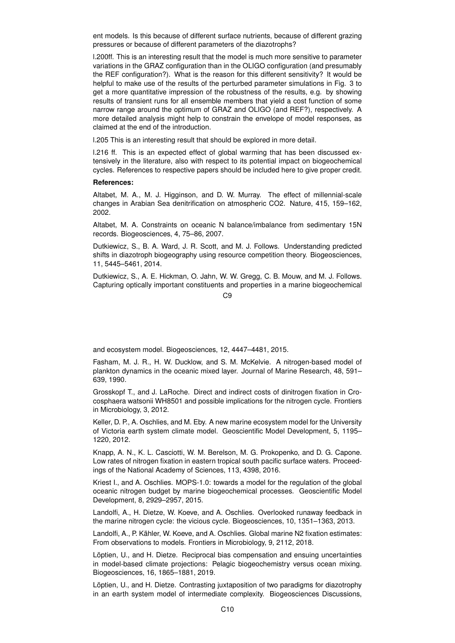ent models. Is this because of different surface nutrients, because of different grazing pressures or because of different parameters of the diazotrophs?

l.200ff. This is an interesting result that the model is much more sensitive to parameter variations in the GRAZ configuration than in the OLIGO configuration (and presumably the REF configuration?). What is the reason for this different sensitivity? It would be helpful to make use of the results of the perturbed parameter simulations in Fig. 3 to get a more quantitative impression of the robustness of the results, e.g. by showing results of transient runs for all ensemble members that yield a cost function of some narrow range around the optimum of GRAZ and OLIGO (and REF?), respectively. A more detailed analysis might help to constrain the envelope of model responses, as claimed at the end of the introduction.

l.205 This is an interesting result that should be explored in more detail.

l.216 ff. This is an expected effect of global warming that has been discussed extensively in the literature, also with respect to its potential impact on biogeochemical cycles. References to respective papers should be included here to give proper credit.

## **References:**

Altabet, M. A., M. J. Higginson, and D. W. Murray. The effect of millennial-scale changes in Arabian Sea denitrification on atmospheric CO2. Nature, 415, 159–162, 2002.

Altabet, M. A. Constraints on oceanic N balance/imbalance from sedimentary 15N records. Biogeosciences, 4, 75–86, 2007.

Dutkiewicz, S., B. A. Ward, J. R. Scott, and M. J. Follows. Understanding predicted shifts in diazotroph biogeography using resource competition theory. Biogeosciences, 11, 5445–5461, 2014.

Dutkiewicz, S., A. E. Hickman, O. Jahn, W. W. Gregg, C. B. Mouw, and M. J. Follows. Capturing optically important constituents and properties in a marine biogeochemical

C9

and ecosystem model. Biogeosciences, 12, 4447–4481, 2015.

Fasham, M. J. R., H. W. Ducklow, and S. M. McKelvie. A nitrogen-based model of plankton dynamics in the oceanic mixed layer. Journal of Marine Research, 48, 591– 639, 1990.

Grosskopf T., and J. LaRoche. Direct and indirect costs of dinitrogen fixation in Crocosphaera watsonii WH8501 and possible implications for the nitrogen cycle. Frontiers in Microbiology, 3, 2012.

Keller, D. P., A. Oschlies, and M. Eby. A new marine ecosystem model for the University of Victoria earth system climate model. Geoscientific Model Development, 5, 1195– 1220, 2012.

Knapp, A. N., K. L. Casciotti, W. M. Berelson, M. G. Prokopenko, and D. G. Capone. Low rates of nitrogen fixation in eastern tropical south pacific surface waters. Proceedings of the National Academy of Sciences, 113, 4398, 2016.

Kriest I., and A. Oschlies. MOPS-1.0: towards a model for the regulation of the global oceanic nitrogen budget by marine biogeochemical processes. Geoscientific Model Development, 8, 2929–2957, 2015.

Landolfi, A., H. Dietze, W. Koeve, and A. Oschlies. Overlooked runaway feedback in the marine nitrogen cycle: the vicious cycle. Biogeosciences, 10, 1351–1363, 2013.

Landolfi, A., P. Kähler, W. Koeve, and A. Oschlies. Global marine N2 fixation estimates: From observations to models. Frontiers in Microbiology, 9, 2112, 2018.

Löptien, U., and H. Dietze. Reciprocal bias compensation and ensuing uncertainties in model-based climate projections: Pelagic biogeochemistry versus ocean mixing. Biogeosciences, 16, 1865–1881, 2019.

Löptien, U., and H. Dietze. Contrasting juxtaposition of two paradigms for diazotrophy in an earth system model of intermediate complexity. Biogeosciences Discussions,